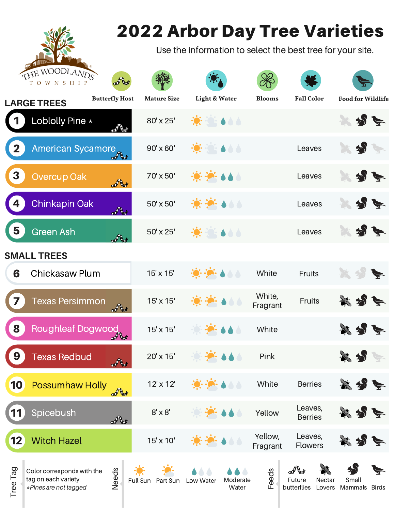